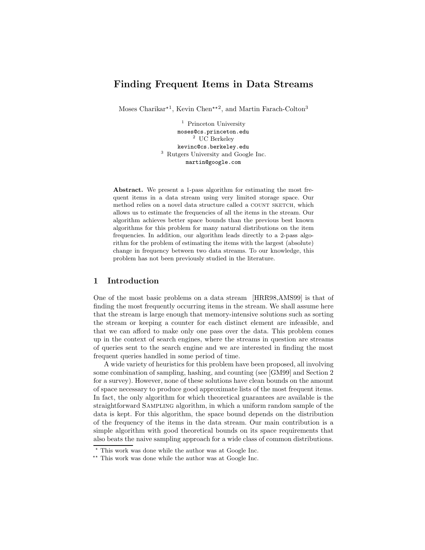# Finding Frequent Items in Data Streams

Moses Charikar<sup>\*1</sup>, Kevin Chen<sup>\*\*2</sup>, and Martin Farach-Colton<sup>3</sup>

<sup>1</sup> Princeton University moses@cs.princeton.edu <sup>2</sup> UC Berkeley kevinc@cs.berkeley.edu <sup>3</sup> Rutgers University and Google Inc. martin@google.com

Abstract. We present a 1-pass algorithm for estimating the most frequent items in a data stream using very limited storage space. Our method relies on a novel data structure called a COUNT SKETCH, which allows us to estimate the frequencies of all the items in the stream. Our algorithm achieves better space bounds than the previous best known algorithms for this problem for many natural distributions on the item frequencies. In addition, our algorithm leads directly to a 2-pass algorithm for the problem of estimating the items with the largest (absolute) change in frequency between two data streams. To our knowledge, this problem has not been previously studied in the literature.

### 1 Introduction

One of the most basic problems on a data stream [HRR98,AMS99] is that of finding the most frequently occurring items in the stream. We shall assume here that the stream is large enough that memory-intensive solutions such as sorting the stream or keeping a counter for each distinct element are infeasible, and that we can afford to make only one pass over the data. This problem comes up in the context of search engines, where the streams in question are streams of queries sent to the search engine and we are interested in finding the most frequent queries handled in some period of time.

A wide variety of heuristics for this problem have been proposed, all involving some combination of sampling, hashing, and counting (see [GM99] and Section 2 for a survey). However, none of these solutions have clean bounds on the amount of space necessary to produce good approximate lists of the most frequent items. In fact, the only algorithm for which theoretical guarantees are available is the straightforward Sampling algorithm, in which a uniform random sample of the data is kept. For this algorithm, the space bound depends on the distribution of the frequency of the items in the data stream. Our main contribution is a simple algorithm with good theoretical bounds on its space requirements that also beats the naive sampling approach for a wide class of common distributions.

<sup>?</sup> This work was done while the author was at Google Inc.

<sup>\*\*</sup> This work was done while the author was at Google Inc.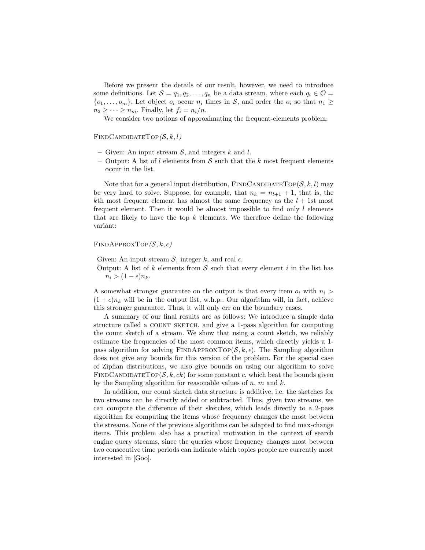Before we present the details of our result, however, we need to introduce some definitions. Let  $S = q_1, q_2, \ldots, q_n$  be a data stream, where each  $q_i \in \mathcal{O}$  $\{o_1, \ldots, o_m\}$ . Let object  $o_i$  occur  $n_i$  times in S, and order the  $o_i$  so that  $n_1 \geq$  $n_2 \geq \cdots \geq n_m$ . Finally, let  $f_i = n_i/n$ .

We consider two notions of approximating the frequent-elements problem:

### $FINDCANDIDATETOP(S, k, l)$

- Given: An input stream  $S$ , and integers k and l.
- Output: A list of l elements from  $S$  such that the k most frequent elements occur in the list.

Note that for a general input distribution, FINDCANDIDATETOP( $S, k, l$ ) may be very hard to solve. Suppose, for example, that  $n_k = n_{l+1} + 1$ , that is, the kth most frequent element has almost the same frequency as the  $l + 1$ st most frequent element. Then it would be almost impossible to find only  $l$  elements that are likely to have the top  $k$  elements. We therefore define the following variant:

 $FINDAPPROXTOP(S, k, \epsilon)$ 

Given: An input stream  $S$ , integer k, and real  $\epsilon$ .

Output: A list of k elements from  $S$  such that every element i in the list has  $n_i > (1 - \epsilon) n_k$ .

A somewhat stronger guarantee on the output is that every item  $o_i$  with  $n_i >$  $(1 + \epsilon)n_k$  will be in the output list, w.h.p.. Our algorithm will, in fact, achieve this stronger guarantee. Thus, it will only err on the boundary cases.

A summary of our final results are as follows: We introduce a simple data structure called a COUNT SKETCH, and give a 1-pass algorithm for computing the count sketch of a stream. We show that using a count sketch, we reliably estimate the frequencies of the most common items, which directly yields a 1 pass algorithm for solving FINDAPPROXTOP( $S, k, \epsilon$ ). The Sampling algorithm does not give any bounds for this version of the problem. For the special case of Zipfian distributions, we also give bounds on using our algorithm to solve FINDCANDIDATETOP( $S, k, ck$ ) for some constant c, which beat the bounds given by the Sampling algorithm for reasonable values of  $n, m$  and  $k$ .

In addition, our count sketch data structure is additive, i.e. the sketches for two streams can be directly added or subtracted. Thus, given two streams, we can compute the difference of their sketches, which leads directly to a 2-pass algorithm for computing the items whose frequency changes the most between the streams. None of the previous algorithms can be adapted to find max-change items. This problem also has a practical motivation in the context of search engine query streams, since the queries whose frequency changes most between two consecutive time periods can indicate which topics people are currently most interested in [Goo].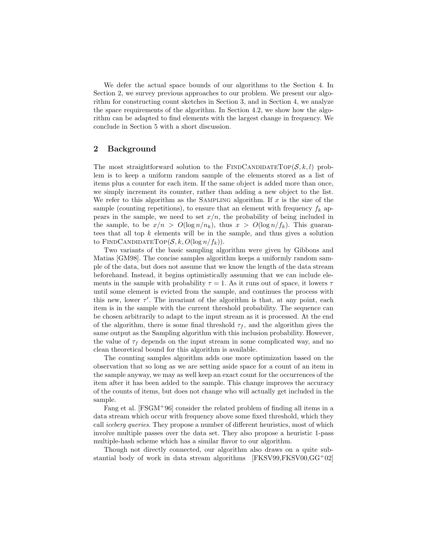We defer the actual space bounds of our algorithms to the Section 4. In Section 2, we survey previous approaches to our problem. We present our algorithm for constructing count sketches in Section 3, and in Section 4, we analyze the space requirements of the algorithm. In Section 4.2, we show how the algorithm can be adapted to find elements with the largest change in frequency. We conclude in Section 5 with a short discussion.

# 2 Background

The most straightforward solution to the FINDCANDIDATETOP( $S, k, l$ ) problem is to keep a uniform random sample of the elements stored as a list of items plus a counter for each item. If the same object is added more than once, we simply increment its counter, rather than adding a new object to the list. We refer to this algorithm as the SAMPLING algorithm. If  $x$  is the size of the sample (counting repetitions), to ensure that an element with frequency  $f_k$  appears in the sample, we need to set  $x/n$ , the probability of being included in the sample, to be  $x/n > O(\log n/n_k)$ , thus  $x > O(\log n/f_k)$ . This guarantees that all top  $k$  elements will be in the sample, and thus gives a solution to FINDCANDIDATETOP $(S, k, O(\log n/f_k))$ .

Two variants of the basic sampling algorithm were given by Gibbons and Matias [GM98]. The concise samples algorithm keeps a uniformly random sample of the data, but does not assume that we know the length of the data stream beforehand. Instead, it begins optimistically assuming that we can include elements in the sample with probability  $\tau = 1$ . As it runs out of space, it lowers  $\tau$ until some element is evicted from the sample, and continues the process with this new, lower  $\tau'$ . The invariant of the algorithm is that, at any point, each item is in the sample with the current threshold probability. The sequence can be chosen arbitrarily to adapt to the input stream as it is processed. At the end of the algorithm, there is some final threshold  $\tau_f$ , and the algorithm gives the same output as the Sampling algorithm with this inclusion probability. However, the value of  $\tau_f$  depends on the input stream in some complicated way, and no clean theoretical bound for this algorithm is available.

The counting samples algorithm adds one more optimization based on the observation that so long as we are setting aside space for a count of an item in the sample anyway, we may as well keep an exact count for the occurrences of the item after it has been added to the sample. This change improves the accuracy of the counts of items, but does not change who will actually get included in the sample.

Fang et al.  $[FSGM^+96]$  consider the related problem of finding all items in a data stream which occur with frequency above some fixed threshold, which they call *iceberg queries*. They propose a number of different heuristics, most of which involve multiple passes over the data set. They also propose a heuristic 1-pass multiple-hash scheme which has a similar flavor to our algorithm.

Though not directly connected, our algorithm also draws on a quite substantial body of work in data stream algorithms [FKSV99,FKSV00, $GG^+02$ ]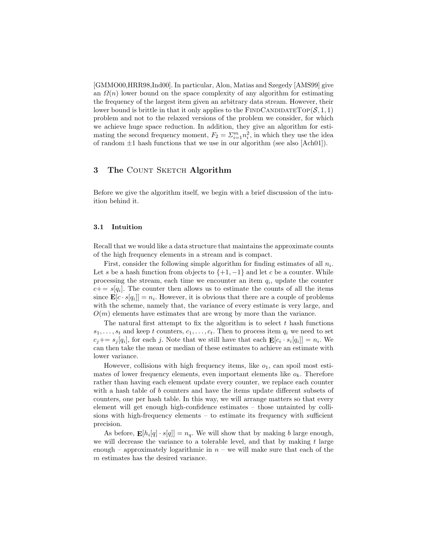[GMMO00,HRR98,Ind00]. In particular, Alon, Matias and Szegedy [AMS99] give an  $\Omega(n)$  lower bound on the space complexity of any algorithm for estimating the frequency of the largest item given an arbitrary data stream. However, their lower bound is brittle in that it only applies to the FINDCANDIDATETOP( $S$ , 1, 1) problem and not to the relaxed versions of the problem we consider, for which we achieve huge space reduction. In addition, they give an algorithm for estimating the second frequency moment,  $F_2 = \sum_{i=1}^{m} n_i^2$ , in which they use the idea of random  $\pm 1$  hash functions that we use in our algorithm (see also [Ach01]).

# 3 The COUNT SKETCH Algorithm

Before we give the algorithm itself, we begin with a brief discussion of the intuition behind it.

#### 3.1 Intuition

Recall that we would like a data structure that maintains the approximate counts of the high frequency elements in a stream and is compact.

First, consider the following simple algorithm for finding estimates of all  $n_i$ . Let s be a hash function from objects to  $\{+1, -1\}$  and let c be a counter. While processing the stream, each time we encounter an item  $q_i$ , update the counter  $c+=s[q_i]$ . The counter then allows us to estimate the counts of all the items since  $\mathbf{E}[c \cdot s[q_i]] = n_i$ . However, it is obvious that there are a couple of problems with the scheme, namely that, the variance of every estimate is very large, and  $O(m)$  elements have estimates that are wrong by more than the variance.

The natural first attempt to fix the algorithm is to select  $t$  hash functions  $s_1, \ldots, s_t$  and keep t counters,  $c_1, \ldots, c_t$ . Then to process item  $q_i$  we need to set  $c_j+=s_j[q_i]$ , for each j. Note that we still have that each  $\mathbf{E}[c_i \cdot s_i[q_i]] = n_i$ . We can then take the mean or median of these estimates to achieve an estimate with lower variance.

However, collisions with high frequency items, like  $o_1$ , can spoil most estimates of lower frequency elements, even important elements like  $o_k$ . Therefore rather than having each element update every counter, we replace each counter with a hash table of b counters and have the items update different subsets of counters, one per hash table. In this way, we will arrange matters so that every element will get enough high-confidence estimates – those untainted by collisions with high-frequency elements – to estimate its frequency with sufficient precision.

As before,  $\mathbf{E}[h_i[q] \cdot s[q]] = n_q$ . We will show that by making b large enough, we will decrease the variance to a tolerable level, and that by making t large enough – approximately logarithmic in  $n -$  we will make sure that each of the m estimates has the desired variance.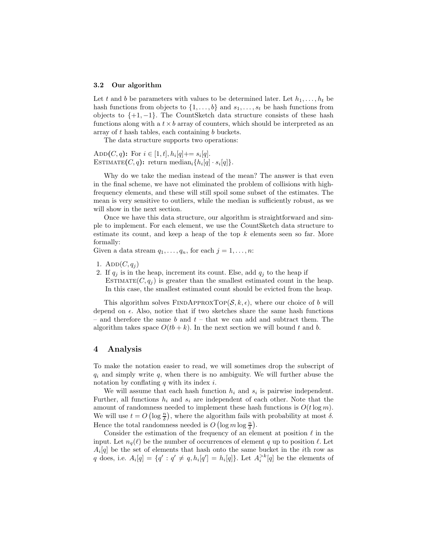#### 3.2 Our algorithm

Let t and b be parameters with values to be determined later. Let  $h_1, \ldots, h_t$  be hash functions from objects to  $\{1, \ldots, b\}$  and  $s_1, \ldots, s_t$  be hash functions from objects to  $\{+1, -1\}$ . The CountSketch data structure consists of these hash functions along with a  $t \times b$  array of counters, which should be interpreted as an array of  $t$  hash tables, each containing  $b$  buckets.

The data structure supports two operations:

ADD $(C, q)$ : For  $i \in [1, t], h_i[q] \mapsto s_i[q]$ . ESTIMATE $(C, q)$ : return median<sub>i</sub> $\{h_i[q] \cdot s_i[q]\}.$ 

Why do we take the median instead of the mean? The answer is that even in the final scheme, we have not eliminated the problem of collisions with highfrequency elements, and these will still spoil some subset of the estimates. The mean is very sensitive to outliers, while the median is sufficiently robust, as we will show in the next section.

Once we have this data structure, our algorithm is straightforward and simple to implement. For each element, we use the CountSketch data structure to estimate its count, and keep a heap of the top  $k$  elements seen so far. More formally:

Given a data stream  $q_1, \ldots, q_n$ , for each  $j = 1, \ldots, n$ :

- 1. Add $(C, q_i)$
- 2. If  $q_i$  is in the heap, increment its count. Else, add  $q_i$  to the heap if

ESTIMATE $(C, q_i)$  is greater than the smallest estimated count in the heap. In this case, the smallest estimated count should be evicted from the heap.

This algorithm solves FINDAPPROXTOP( $S, k, \epsilon$ ), where our choice of b will depend on  $\epsilon$ . Also, notice that if two sketches share the same hash functions – and therefore the same  $b$  and  $t$  – that we can add and subtract them. The algorithm takes space  $O(t+ k)$ . In the next section we will bound t and b.

### 4 Analysis

To make the notation easier to read, we will sometimes drop the subscript of  $q_i$  and simply write q, when there is no ambiguity. We will further abuse the notation by conflating q with its index  $i$ .

We will assume that each hash function  $h_i$  and  $s_i$  is pairwise independent. Further, all functions  $h_i$  and  $s_i$  are independent of each other. Note that the amount of randomness needed to implement these hash functions is  $O(t \log m)$ . We will use  $t = O\left(\log \frac{n}{\delta}\right)$ , where the algorithm fails with probability at most  $\delta$ . Hence the total randomness needed is  $O(\log m \log \frac{n}{\delta}).$ 

Consider the estimation of the frequency of an element at position  $\ell$  in the input. Let  $n_q(\ell)$  be the number of occurrences of element q up to position  $\ell$ . Let  $A_i[q]$  be the set of elements that hash onto the same bucket in the *i*th row as q does, i.e.  $A_i[q] = \{q' : q' \neq q, h_i[q'] = h_i[q]\}.$  Let  $A_i^{>k}[q]$  be the elements of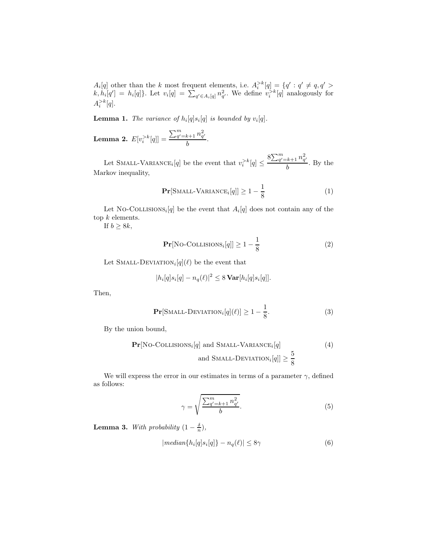$A_i[q]$  other than the k most frequent elements, i.e.  $A_i^{>k}[q] = \{q' : q' \neq q, q' \geq 0\}$  $k, h_i[q'] = h_i[q]$ . Let  $v_i[q] = \sum_{q' \in A_i[q]} n_{q'}^2$ . We define  $v_i^{>k}[q]$  analogously for  $A_i^{>k}[q].$ 

**Lemma 1.** The variance of  $h_i[q]s_i[q]$  is bounded by  $v_i[q]$ .

Lemma 2.  $E[v_i^{>k}[q]] =$  $\sum_{q'=k+1}^{m} n_{q'}^2$  $\frac{a+1-q}{b}$ .

Let SMALL-VARIANCE<sub>*i*</sub> $[q]$  be the event that  $v_i^{>k}[q] \leq$  $8\sum_{q'=k+1}^{m} n_{q'}^2$  $\frac{b}{b}$ . By the Markov inequality,

$$
\Pr[\text{SMALL-VARIANCE}_i[q]] \ge 1 - \frac{1}{8} \tag{1}
$$

Let NO-COLLISIONS<sub>i</sub><sup>[q]</sup> be the event that  $A_i[q]$  does not contain any of the top  $k$  elements.

If  $b \geq 8k$ ,

$$
\Pr[\text{No-COLLISIONS}_i[q]] \ge 1 - \frac{1}{8} \tag{2}
$$

Let SMALL-DEVIATION<sub>i</sub> $[q](\ell)$  be the event that

$$
|h_i[q]s_i[q] - n_q(\ell)|^2 \leq 8 \operatorname{Var}[h_i[q]s_i[q]].
$$

Then,

$$
\Pr[\text{SMALL-DEVIATION}_i[q](\ell)] \ge 1 - \frac{1}{8}.\tag{3}
$$

By the union bound,

$$
\Pr[\text{No-COLLISIONS}_{i}[q] \text{ and SMALL-VARIANCE}_{i}[q] \geq \frac{5}{8} \tag{4}
$$
\n
$$
\text{and SMALL-DEVIATION}_{i}[q]] \geq \frac{5}{8}
$$

We will express the error in our estimates in terms of a parameter  $\gamma,$  defined as follows:

$$
\gamma = \sqrt{\frac{\sum_{q'=k+1}^{m} n_{q'}^2}{b}}.\tag{5}
$$

**Lemma 3.** With probability  $(1 - \frac{\delta}{n})$ ,

$$
|median\{h_i[q]s_i[q]\} - n_q(\ell)| \le 8\gamma \tag{6}
$$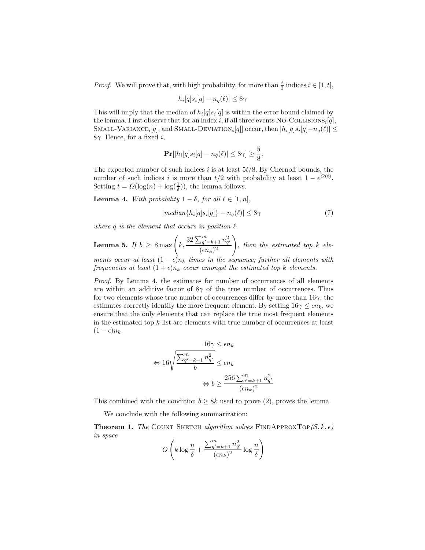*Proof.* We will prove that, with high probability, for more than  $\frac{t}{2}$  indices  $i \in [1, t]$ ,

$$
|h_i[q]s_i[q] - n_q(\ell)| \le 8\gamma
$$

This will imply that the median of  $h_i[q]s_i[q]$  is within the error bound claimed by the lemma. First observe that for an index i, if all three events No-Collisions<sub>i</sub>[q], SMALL-VARIANCE<sub>i</sub>[q], and SMALL-DEVIATION<sub>i</sub>[q]] occur, then  $|h_i[q]s_i[q]-n_q(\ell)|\leq$ 8γ. Hence, for a fixed i,

$$
\mathbf{Pr}[|h_i[q]s_i[q] - n_q(\ell)| \le 8\gamma] \ge \frac{5}{8}.
$$

The expected number of such indices  $i$  is at least  $5t/8$ . By Chernoff bounds, the number of such indices i is more than  $t/2$  with probability at least  $1 - e^{O(t)}$ . Setting  $t = \Omega(\log(n) + \log(\frac{1}{\delta}))$ , the lemma follows.

**Lemma 4.** With probability  $1 - \delta$ , for all  $\ell \in [1, n]$ ,

$$
|median\{h_i[q]s_i[q]\} - n_q(\ell)| \le 8\gamma \tag{7}
$$

where q is the element that occurs in position  $\ell$ .

**Lemma 5.** If 
$$
b \ge 8 \max \left( k, \frac{32 \sum_{q'=k+1}^{m} n_{q'}^2}{(\epsilon n_k)^2} \right)
$$
, then the estimated top k ele-

ments occur at least  $(1 - \epsilon)n_k$  times in the sequence; further all elements with frequencies at least  $(1+\epsilon)n_k$  occur amongst the estimated top k elements.

Proof. By Lemma 4, the estimates for number of occurrences of all elements are within an additive factor of  $8\gamma$  of the true number of occurrences. Thus for two elements whose true number of occurrences differ by more than  $16\gamma$ , the estimates correctly identify the more frequent element. By setting  $16\gamma \leq \epsilon n_k$ , we ensure that the only elements that can replace the true most frequent elements in the estimated top  $k$  list are elements with true number of occurrences at least  $(1 - \epsilon)n_k$ .

$$
16\gamma \le \epsilon n_k
$$
  
\n
$$
\Leftrightarrow 16\sqrt{\frac{\sum_{q'=k+1}^{m} n_{q'}^2}{b}} \le \epsilon n_k
$$
  
\n
$$
\Leftrightarrow b \ge \frac{256 \sum_{q'=k+1}^{m} n_{q'}^2}{(\epsilon n_k)^2}
$$

This combined with the condition  $b \geq 8k$  used to prove (2), proves the lemma.

We conclude with the following summarization:

**Theorem 1.** The COUNT SKETCH algorithm solves FINDAPPROXTOP( $S, k, \epsilon$ ) in space

$$
O\left(k\log\frac{n}{\delta} + \frac{\sum_{q'=k+1}^{m} n_{q'}^2}{(\epsilon n_k)^2} \log\frac{n}{\delta}\right)
$$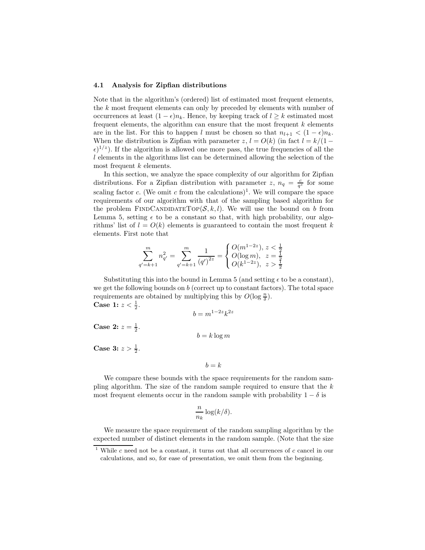#### 4.1 Analysis for Zipfian distributions

Note that in the algorithm's (ordered) list of estimated most frequent elements, the k most frequent elements can only by preceded by elements with number of occurrences at least  $(1 - \epsilon)n_k$ . Hence, by keeping track of  $l \geq k$  estimated most frequent elements, the algorithm can ensure that the most frequent  $k$  elements are in the list. For this to happen l must be chosen so that  $n_{l+1} < (1 - \epsilon)n_k$ . When the distribution is Zipfian with parameter  $z, l = O(k)$  (in fact  $l = k/(1 (\epsilon)^{1/z}$ ). If the algorithm is allowed one more pass, the true frequencies of all the l elements in the algorithms list can be determined allowing the selection of the most frequent  $k$  elements.

In this section, we analyze the space complexity of our algorithm for Zipfian distributions. For a Zipfian distribution with parameter z,  $n_q = \frac{c}{q^z}$  for some scaling factor c. (We omit c from the calculations)<sup>1</sup>. We will compare the space requirements of our algorithm with that of the sampling based algorithm for the problem FINDCANDIDATETOP( $S, k, l$ ). We will use the bound on b from Lemma 5, setting  $\epsilon$  to be a constant so that, with high probability, our algorithms' list of  $l = O(k)$  elements is guaranteed to contain the most frequent k elements. First note that

$$
\sum_{q'=k+1}^{m} n_{q'}^2 = \sum_{q'=k+1}^{m} \frac{1}{(q')^{2z}} = \begin{cases} O(m^{1-2z}), z < \frac{1}{2} \\ O(\log m), z = \frac{1}{2} \\ O(k^{1-2z}), z > \frac{1}{2} \end{cases}
$$

Substituting this into the bound in Lemma 5 (and setting  $\epsilon$  to be a constant), we get the following bounds on  $b$  (correct up to constant factors). The total space requirements are obtained by multiplying this by  $O(\log \frac{n}{\delta})$ . **Case 1:**  $z < \frac{1}{2}$ .

$$
b = m^{1-2z} k^{2z}
$$

**Case 2:**  $z = \frac{1}{2}$ .

$$
b = k \log m
$$

**Case 3:**  $z > \frac{1}{2}$ .

$$
b = k
$$

We compare these bounds with the space requirements for the random sampling algorithm. The size of the random sample required to ensure that the  $k$ most frequent elements occur in the random sample with probability  $1 - \delta$  is

$$
\frac{n}{n_k} \log(k/\delta).
$$

We measure the space requirement of the random sampling algorithm by the expected number of distinct elements in the random sample. (Note that the size

<sup>&</sup>lt;sup>1</sup> While c need not be a constant, it turns out that all occurrences of c cancel in our calculations, and so, for ease of presentation, we omit them from the beginning.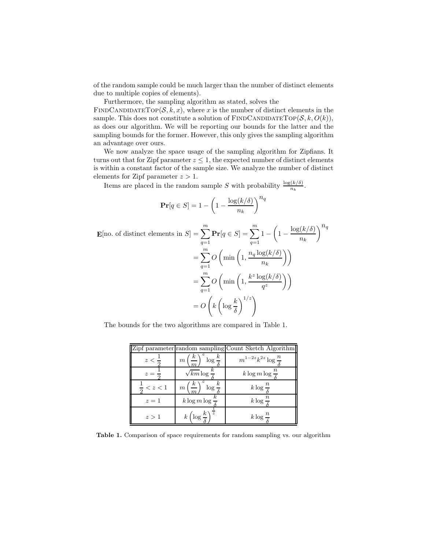of the random sample could be much larger than the number of distinct elements due to multiple copies of elements).

Furthermore, the sampling algorithm as stated, solves the

FINDCANDIDATETOP $(S, k, x)$ , where x is the number of distinct elements in the sample. This does not constitute a solution of  $\text{FINDCANDIDATETOP}(\mathcal{S}, k, O(k)),$ as does our algorithm. We will be reporting our bounds for the latter and the sampling bounds for the former. However, this only gives the sampling algorithm an advantage over ours.

We now analyze the space usage of the sampling algorithm for Zipfians. It turns out that for Zipf parameter  $z \leq 1$ , the expected number of distinct elements is within a constant factor of the sample size. We analyze the number of distinct elements for Zipf parameter  $z > 1$ .

Items are placed in the random sample S with probability  $\frac{\log(k/\delta)}{n_k}$ .

$$
\mathbf{Pr}[q \in S] = 1 - \left(1 - \frac{\log(k/\delta)}{n_k}\right)^{n_q}
$$

$$
\mathbf{E}[\text{no. of distinct elements in } S] = \sum_{q=1}^{m} \mathbf{Pr}[q \in S] = \sum_{q=1}^{m} 1 - \left(1 - \frac{\log(k/\delta)}{n_k}\right)^{n_q}
$$

$$
= \sum_{q=1}^{m} O\left(\min\left(1, \frac{n_q \log(k/\delta)}{n_k}\right)\right)
$$

$$
= \sum_{q=1}^{m} O\left(\min\left(1, \frac{k^2 \log(k/\delta)}{q^z}\right)\right)
$$

$$
= O\left(k \left(\log \frac{k}{\delta}\right)^{1/z}\right)
$$

The bounds for the two algorithms are compared in Table 1.

|                       |                                                   | Zipf parameter random sampling Count Sketch Algorithm |
|-----------------------|---------------------------------------------------|-------------------------------------------------------|
| $z < -$               | $m\left(\frac{k}{2}\right)^{\sim}\log\frac{k}{s}$ | $m^{1-2z}k^{2z}\log\frac{n}{5}$                       |
| $z =$                 | $\sqrt{km} \log \frac{\kappa}{e}$                 | $k \log m \log \frac{n}{2}$                           |
| $\frac{1}{z}$ < z < 1 | m <sub>l</sub><br>$\log \frac{h}{c}$              | $k \log \frac{n}{e}$                                  |
| $z=1$                 | $k \log m \log \frac{\kappa}{\epsilon}$           | $k \log \frac{n}{e}$                                  |
| z>1                   | $k\left(\log\frac{k}{s}\right)^{\frac{1}{z}}$     | $k \log \frac{1}{5}$                                  |

Table 1. Comparison of space requirements for random sampling vs. our algorithm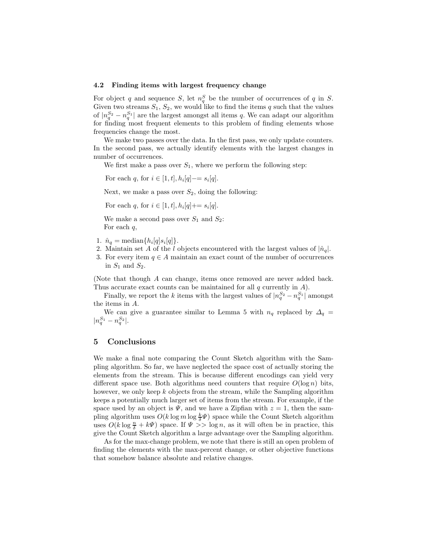### 4.2 Finding items with largest frequency change

For object q and sequence S, let  $n_q^S$  be the number of occurrences of q in S. Given two streams  $S_1, S_2$ , we would like to find the items q such that the values of  $|n_q^{S_2} - n_q^{S_1}|$  are the largest amongst all items q. We can adapt our algorithm for finding most frequent elements to this problem of finding elements whose frequencies change the most.

We make two passes over the data. In the first pass, we only update counters. In the second pass, we actually identify elements with the largest changes in number of occurrences.

We first make a pass over  $S_1$ , where we perform the following step:

For each q, for  $i \in [1, t], h_i[q] = s_i[q].$ 

Next, we make a pass over  $S_2$ , doing the following:

For each q, for  $i \in [1, t]$ ,  $h_i[q] \neq s_i[q]$ .

We make a second pass over  $S_1$  and  $S_2$ : For each  $q$ ,

- 1.  $\hat{n}_q = \text{median}\{h_i[q]s_i[q]\}.$
- 2. Maintain set A of the l objects encountered with the largest values of  $|\hat{n}_q|$ .
- 3. For every item  $q \in A$  maintain an exact count of the number of occurrences in  $S_1$  and  $S_2$ .

(Note that though A can change, items once removed are never added back. Thus accurate exact counts can be maintained for all  $q$  currently in  $A$ ).

Finally, we report the k items with the largest values of  $|n_q^{S_2} - n_q^{S_1}|$  amongst the items in A.

We can give a guarantee similar to Lemma 5 with  $n_q$  replaced by  $\Delta_q$  $|n_q^{S_1} - n_q^{S_2}|.$ 

## 5 Conclusions

We make a final note comparing the Count Sketch algorithm with the Sampling algorithm. So far, we have neglected the space cost of actually storing the elements from the stream. This is because different encodings can yield very different space use. Both algorithms need counters that require  $O(\log n)$  bits, however, we only keep  $k$  objects from the stream, while the Sampling algorithm keeps a potentially much larger set of items from the stream. For example, if the space used by an object is  $\Psi$ , and we have a Zipfian with  $z = 1$ , then the sampling algorithm uses  $O(k \log m \log \frac{k}{\delta} \Psi)$  space while the Count Sketch algorithm uses  $O(k \log \frac{n}{\delta} + k\Psi)$  space. If  $\Psi \gg \log n$ , as it will often be in practice, this give the Count Sketch algorithm a large advantage over the Sampling algorithm.

As for the max-change problem, we note that there is still an open problem of finding the elements with the max-percent change, or other objective functions that somehow balance absolute and relative changes.